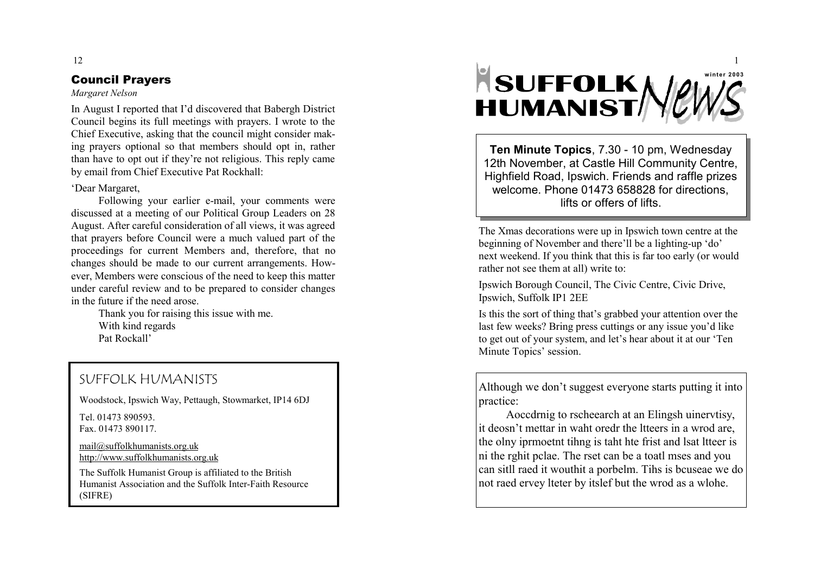# Council Prayers

## *Margaret Nelson*

In August I reported that I'd disco vered that Baber g h District Council be gins its full meetin g s with pra yers. I wrote to the Chief Executive, asking that the council might consider making prayers optional so that members should opt in, rather than ha v e to opt out if the y're not reli gious. This repl y came b y e mail fro m Chief Executi ve Pat Roc khall:

## 'Dear Mar garet,

Followin g your earlier e-mail, your comments were discussed at a meetin g of our Political Group Leaders on 28 Au gust. After careful consideration of all views, it was a greed that pra yers before Council were a much valued part of the proceedings for current Members and, therefore, that no changes should be made to our current arrangements. However, Members were conscious of the need to keep this matter under careful re view and to be prepared to consider chan ges in the future if the need arose.

> Than k you for raisin g this issue with me. With kind re gards Pat Rockall'

# SUFFOLK HUMANISTS

Woodstock, Ips wich Wa y, Pettaugh, Stowmarket, I P14 6DJ

Tel. 01473 890593. Fax. 01473 890117.

[mail@suffolkhumanists.org.uk](mailto:mail@suffolkhumanists.org.uk) [http://www.suffolkhu](http://www.suffolkhumanists.org.uk) manists.org.uk

The Suffolk Hu manist Group is affiliated to the British Hu manist Association and the Suffolk Inter-Faith Resource (SIFRE)



**Ten Minute Topics**, 7.30 - 10 pm, Wednesday 12th November, at Castle Hill Community Centre, High field Road, Ips wich. Friends and raffle pri zes welcome. Phone 01473 658828 for directions, li fts or offers o f li fts.

The X mas decorations were up in Ipswich town centre at the be ginnin g of No v e mber and there'll be a li ghting-up 'do' next wee kend. If you thin k that this is far too earl y (or would rather not see the m at all) write to:

Ipswich Borough Council, The Civic Centre, Civic Drive, Ipswich, Suffol k IP1 2EE

Is this the sort of thin g that's grabbed your attention o ver the last few weeks? Bring press cuttings or any issue you'd like to get out of your s yste m, and let's hear about it at our 'Ten Minute Topics' session.

Althou gh we don't suggest ever yone starts puttin g it into practice:

Aoccdrni g to rscheearch at an Elin gsh uinervtisy, it deosn't mettar in waht oredr the ltteers in a wrod are, the oln y iprmoetnt tihn g is taht hte frist and lsat ltteer is ni the r ghit pclae. The rset can be a toatl mses and you can sitll raed it wouthit a porbelm. Tihs is bcuseae we do not raed erve y lteter b y itslef but the wrod as a wlohe.

12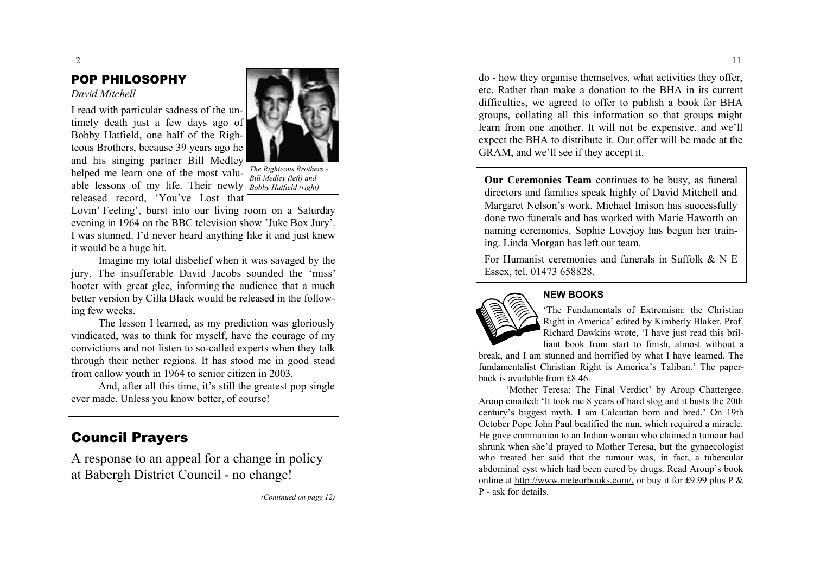## POP PHILOSOPHY

*David Mitchell*





*The Righteous Brothers - Bill Medley (left) and*

Lovin' Feeling', burst into our living room on a Saturday evening in 1964 on the BBC television show 'Juke Box Jury'. I was stunned. I'd never heard anything like it and just knew it would be a hu ge hit.

Imagine my total disbelief when it was savaged by the jury . Th e insufferabl e Davi d Jacob s sounde d th e ' miss' hooter with great glee, informing the audience that a much better version b y Cilla Blac k would be released in the following few weeks.

The lesson I learned, as my prediction was gloriously vindicated, was to thin k for myself, ha v e the coura g e of my con victions an d not listen to so -called experts when the y talk throu g h their nether re gions. I t has stood m e in good stead fro m callow youth in 1964 to senior citi zen in 2003.

And, after all this ti me, it's still the greatest pop sin gle e ver made. Unless you know better, of course!

# Council Prayers

A response to an appeal for a change in policy at Babergh District Council - no change!

*(Continued on page 12)*

do - how the y or ganise the msel ves, what acti vities the y offer, etc. Rather than m a k e a donation to the BHA in its current difficulties, we a greed to offer to publish a boo k for BHA groups, collating all this information so that groups might learn from one another. It will not be expensive, and we'll expect the BHA to distribute it. Our offer will be made at the GRAM, and we'll see if the y accept it.

**Our Ceremonies Team** continues to be bus y , as funeral directors and fa milies spea k hi ghl y of Da vid Mitchell and Mar garet Nelson's wor k . Michael Imison has successfully done two funerals and has wor ked with Marie Haworth on naming ceremonies. Sophie Lovejoy has begun her training. Linda Morgan has left our team.

For Humanist ceremonies and funerals in Suffolk & N E Essex, tel. 01473 658828.



# **NEW BOOKS**

'The Fundamentals of Extremism: the Christian Right in America' edited b y Ki mberl y Blaker. Prof. Richard Da wkins wrote, 'I have just read this brilliant book from start to finish, almost without a

break, and I a m stunned and horrified b y what I have learned. The funda mentalist Christian Right is America's Taliban.' The paperback is available from £8.46.

'Mother Teresa: The Final Verdict' by Aroup Chattergee. Aroup e mailed: 'It took m e 8 years of hard slog and it busts the 20th century's biggest myth. I a m Calcuttan born and bred.' On 19th October Pope John Paul beatified the nun, which required a miracle. He gave communion to an Indian woman who claimed a tumour had shrunk when she'd pra yed to Mother Teresa, but the g ynaecologist who treated her said that the tu mour was, in fact, a tubercular abdo minal c yst which had been cured b y drugs. Read Aroup's book online at http://www.[meteorbooks.co](http://www.meteorbooks.com/,)m/, or buy it for £9.99 plus P & P - ask for details.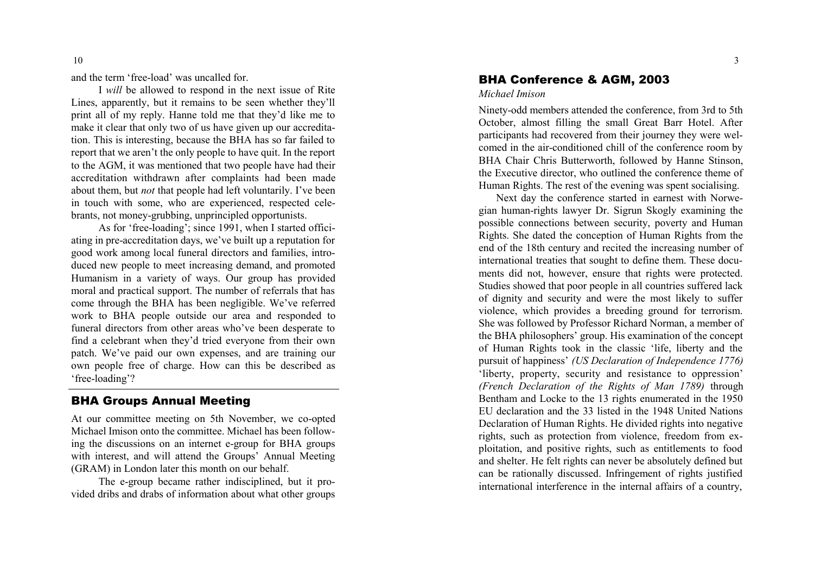and the ter m 'free -load' was uncalled for.

I *will* be allowed to respond in the next issue of Rite Lines, apparentl y , but it re mains to be seen whether the y'll print all of my reply. Hanne told me that they'd like me to make it clear that only two of us have given up our accreditation. This is interesting, because the BHA has so far failed to report that we aren't the only people to have quit. In the report to the AGM, it was mentioned that two people have had their accreditation withdrawn after complaints had been made about them, but *not* that people had left voluntarily. I've been in touch with so me, who are experienced, respected celebrants, not money-grubbing, unprincipled opportunists.

As for 'free -loadin g'; since 1991, when I started officiating in pre-accreditation days, we've built up a reputation for good work among local funeral directors and families, introduced new people to meet increasing demand, and promoted Humanism in a variety of ways. Our group has provided moral and practical support. The nu mber of referrals that has co m e throu g h the BHA has been ne gli gible. We' v e referred wor k to BHA people outside our area and responded to funeral directors from other areas who've been desperate to find a celebrant when they'd tried everyone from their own patch. We' v e paid our own expenses, and are trainin g our own people free of char ge. How can this be described as 'free -loadin g'?

# BHA Groups Annual Meeting

At our committee meeting on 5th November, we co-opted Michael Imison onto the committee. Michael has been following the discussions on an internet e-group for BHA groups with interest, and will attend the Groups' Annual Meeting (GRAM) in London later this month on our behalf.

The e-group beca m e rather indisciplined, but it provided dribs and drabs of information about what other groups

# BHA Conference & AGM, 2003

#### *Michael Imison*

Ninety-odd m e mbers attended the conference, fro m 3rd to 5th October, al most fillin g the s mall Great Barr Hotel. After participants had recovered from their journey they were welcomed in the air-conditioned chill of the conference room by BHA Chair Chris Butterworth, followed b y Hanne Stinson, the Executive director, who outlined the conference theme of Hu man Ri ghts. The rest of the e venin g was spent socialising.

Next da y the conference started in earnest with Norwegian human-rights lawyer Dr. Sigrun Skogly examining the possible connections between security, poverty and Human Ri ghts. She dated the conception of Hu man Ri ghts fro m the end of the 18th centur y and recited the increasin g nu mber of international treaties that sou ght to define the m . These documents did not, however, ensure that rights were protected. Studies showed that poor people in all countries suffered lack of di gnit y and securit y and were the most li kel y to suffer violence, which pro vides a breedin g ground for terrorism. She was followed by Professor Richard Nor man, a m e mber of the BHA philosophers' group. His exa mination of the concept of Hu man Ri ghts too k in the classic 'life, libert y and the pursuit of happiness' *(US Declaration of Independence 1776)* 'liberty, property, security and resistance to oppression' *(French Declaration of the Rights of Man 1789)* through Bentha m and Loc k e to the 13 ri ghts enu merated in the 1950 EU declaration and the 33 listed in the 1948 United Nations Declaration of Hu man Ri ghts. He di vided ri ghts into ne gative ri ghts, such as protection fro m violence, freedo m fro m exploitation, and positive rights, such as entitlements to food and shelter. He felt ri ghts can ne ver be absolutel y defined but can be rationall y discussed. Infrin g e ment of ri ghts justified international interference in the internal affairs of a country,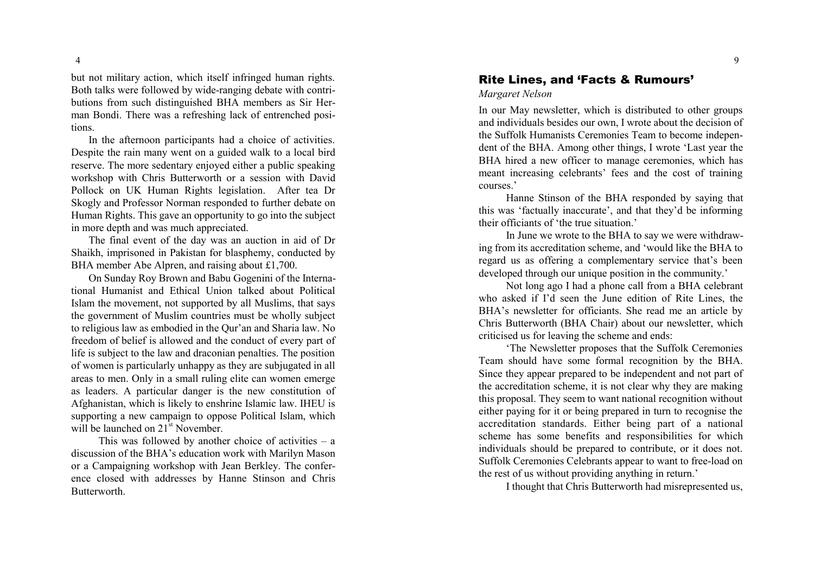but not militar y action, which itself infrin ged hu man ri ghts. Both tal k s were followed b y wide -ran gin g debate with contributions from such distinguished BHA members as Sir Her man Bondi. There was a refreshing lack of entrenched positions.<br>In the afternoon participants had a choice of activities.

Despite the rain man y went on a guided wal k to a local bird reser ve. The more sedentar y enj o yed either a public spea king wor kshop with Chris Butterworth or a session with Da vid Pollock on UK Human Rights legislation. After tea Dr S k o g l y and Professor Nor man responded to further debate on Hu man Ri ghts. This g a v e an opportunity to g o into the subject in more depth and was much appreciated.

The final e vent of the da y was an auction in aid of Dr Shai kh, i mprisoned in Pa kistan for blasphemy , conducted by BHA member Abe Alpren, and raising about £1,700.

On Sunday Ro y Brown and Babu Go genini of the International Humanist and Ethical Union talked about Political Islam the movement, not supported by all Muslims, that says the g o vern ment of Musli m countries must be wholl y subject to reli gious law as e mbodied in the Qur'an and Sharia law. No freedom of belief is allowed and the conduct of every part of life is subject to the law and draconian penalties. The position of wo men is particularly unhapp y as they are subj u gated in all areas to men. Onl y in a s mall rulin g elite can wo men e merge as leaders. A particular dan ger is the new constitution of Afghanistan, which is li kel y to enshrine Isla mic law. IHEU is supporting a new campaign to oppose Political Islam, which will be launched on  $21^{st}$  November.

This was followed b y another choice of acti vities – a discussion of the BHA's education wor k with Maril yn Mason or a Campaigning workshop with Jean Berkley. The conference closed with addresses by Hanne Stinson and Chris Butterworth.

# Rite Lines, and 'Facts & Rumours'

*Margaret Nelson*

In our May newsletter, which is distributed to other groups and indi viduals besides our own, I wrote about the decision of the Suffol k Hu manists Cere monies Tea m to beco m e independent of the BHA. Among other things, I wrote 'Last year the BHA hired a new officer to mana g e cere monies, which has meant increasin g celebrants' fees and the cost of training courses.'

Hanne Stinson of the BHA responded by saying that this was 'factuall y inaccurate', and that the y'd be infor ming their officiants of 'the true situation.'

In June we wrote to the BHA to say we were withdrawing from its accreditation scheme, and 'would like the BHA to re gard us as offerin g a co mple mentar y ser vice that's been developed through our unique position in the community.'

Not lon g a g o I had a phone call fro m a BHA celebrant who as ked if I'd seen the June edition of Rite Lines, the BHA's newsletter for officiants. She read m e an article by Chris Butterworth (BHA Chair) about our newsletter, which criticised us for lea vin g the sche me and ends:

'The Newsletter proposes that the Suffol k Cere monies Tea m should ha v e so m e for mal reco gnition b y the BHA. Since the y appear prepared to be independent and not part of the accreditation scheme, it is not clear why they are making this proposal. They seem to want national reco gnition without either pa yin g for it or bein g prepared in turn to reco gnise the accreditation standards. Either being part of a national scheme has some benefits and responsibilities for which indi viduals should be prepared to contribute, or it does not. Suffolk Cere monies Celebrants appear to want to free -load on the rest of us without pro vidin g an ythin g in return.'

I thou ght that Chris Butterworth had misrepresented us,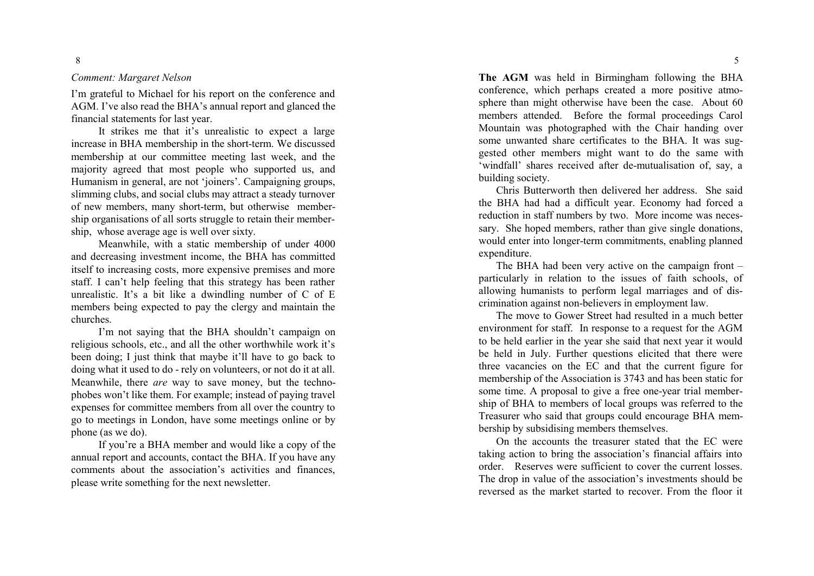### *Comment: Margaret Nelson*

I'm grateful to Michael for his report on the conference and AGM. I ' v e also read the BHA's annual report and glanced the financial state ments for last year.

It strikes me that it's unrealistic to expect a large increase in BHA m e mbership in the short -ter m . We discussed membership at our committee meeting last week, and the m ajorit y a greed that most people who supported us, and Humanism in general, are not 'joiners'. Campaigning groups, slimming clubs, and social clubs m ay attract a steady turno ver of new members, many short-term, but otherwise membership organisations of all sorts struggle to retain their membership, whose average age is well over sixty.

Meanwhile, with a static membership of under 4000 and decreasin g in vest ment inco me, the BHA has committed itself to increasing costs, more expensive premises and more staff. I can't help feelin g that this strategy has been rather unrealistic. It's a bit li k e a dwindlin g nu mber of C of E members being expected to pay the clergy and maintain the churches.

I'm not saying that the BHA shouldn't campaign on reli gious schools, etc., and all the other worthwhile wor k it's been doing; I just think that maybe it'll have to go back to doin g what it used to do - rel y on volunteers, or not do it at all. Meanwhile, there are way to save money, but the technophobes won't like them. For example; instead of paying travel expenses for committee members from all over the country to g o to meetin g s in London, ha v e so m e meetin g s online or by phone (as we do).

If you're a BHA member and would like a copy of the annual report and accounts, contact the BHA. If you have any comments about the association's activities and finances, please write so methin g for the next newsletter.

The AGM was held in Birmingham following the BHA conference, which perhaps created a more positive atmosphere than might otherwise have been the case. About 60 members attended. Before the formal proceedings Carol Mountain was photographed with the Chair handing over some unwanted share certificates to the BHA. It was suggested other members might want to do the same with 'windfall' shares received after de-mutualisation of, say, a buildin g society.

Chris Butterworth then deli vered her address. She said the BHA had had a difficult year. Economy had forced a reduction in staff numbers by two. More income was necessary. She hoped members, rather than give single donations, would enter into lon ger -ter m commit ments, enablin g planned expenditure.

The BHA had been very active on the campaign front particularly in relation to the issues of faith schools, of allowin g hu manists to perfor m le gal marria ges and of discrimination against non-believers in employment law.

The move to Gower Street had resulted in a much better en viron ment for staff. I n response to a request for the AGM to be held earlier in the year she said that next year it would be held in Jul y . Further questions elicited that there were three vacancies on the EC and that the current fi gure for m e mbership of the Association is 3743 and has been static for some time. A proposal to give a free one-year trial membership of BHA to members of local groups was referred to the Treasurer who said that groups could encoura g e BHA m embership by subsidising members themselves.

On the accounts the treasurer stated that the EC were taking action to bring the association's financial affairs into order. Reser ves were sufficient to co ver the current losses. The drop in value of the association's in vest ments should be re versed as the mar ket started to reco ver. Fro m the floor it